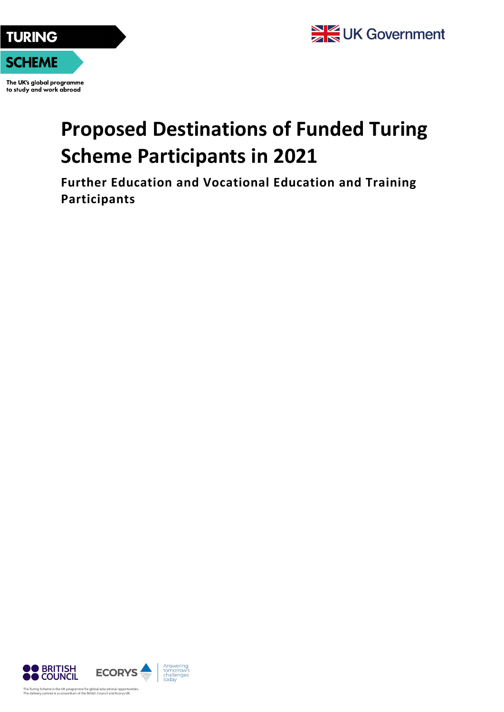



The UK's global programme to study and work abroad

## **Proposed Destinations of Funded Turing Scheme Participants in 2021**

**Further Education and Vocational Education and Training Participants**

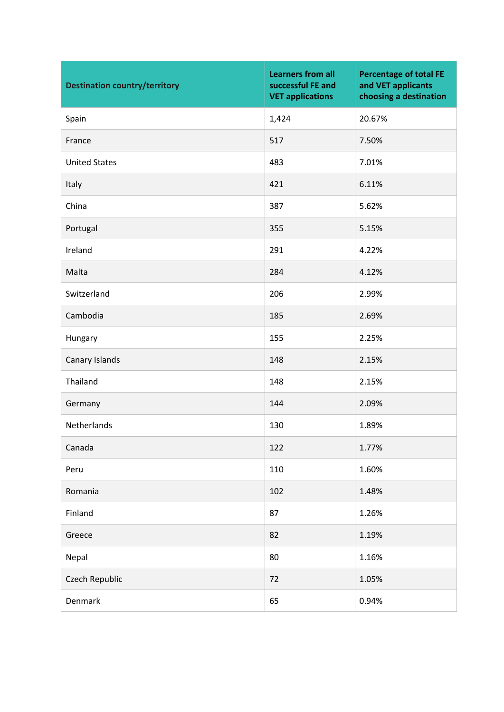| <b>Destination country/territory</b> | <b>Learners from all</b><br>successful FE and<br><b>VET applications</b> | <b>Percentage of total FE</b><br>and VET applicants<br>choosing a destination |
|--------------------------------------|--------------------------------------------------------------------------|-------------------------------------------------------------------------------|
| Spain                                | 1,424                                                                    | 20.67%                                                                        |
| France                               | 517                                                                      | 7.50%                                                                         |
| <b>United States</b>                 | 483                                                                      | 7.01%                                                                         |
| Italy                                | 421                                                                      | 6.11%                                                                         |
| China                                | 387                                                                      | 5.62%                                                                         |
| Portugal                             | 355                                                                      | 5.15%                                                                         |
| Ireland                              | 291                                                                      | 4.22%                                                                         |
| Malta                                | 284                                                                      | 4.12%                                                                         |
| Switzerland                          | 206                                                                      | 2.99%                                                                         |
| Cambodia                             | 185                                                                      | 2.69%                                                                         |
| Hungary                              | 155                                                                      | 2.25%                                                                         |
| Canary Islands                       | 148                                                                      | 2.15%                                                                         |
| Thailand                             | 148                                                                      | 2.15%                                                                         |
| Germany                              | 144                                                                      | 2.09%                                                                         |
| Netherlands                          | 130                                                                      | 1.89%                                                                         |
| Canada                               | 122                                                                      | 1.77%                                                                         |
| Peru                                 | 110                                                                      | 1.60%                                                                         |
| Romania                              | 102                                                                      | 1.48%                                                                         |
| Finland                              | 87                                                                       | 1.26%                                                                         |
| Greece                               | 82                                                                       | 1.19%                                                                         |
| Nepal                                | 80                                                                       | 1.16%                                                                         |
| Czech Republic                       | 72                                                                       | 1.05%                                                                         |
| Denmark                              | 65                                                                       | 0.94%                                                                         |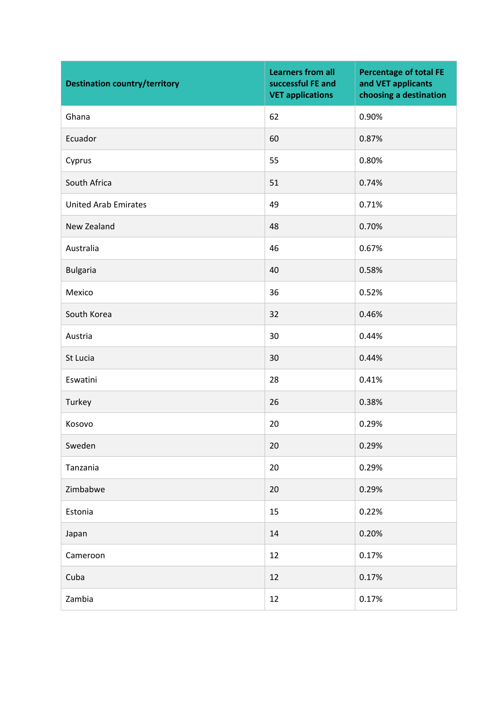| <b>Destination country/territory</b> | <b>Learners from all</b><br>successful FE and<br><b>VET applications</b> | <b>Percentage of total FE</b><br>and VET applicants<br>choosing a destination |
|--------------------------------------|--------------------------------------------------------------------------|-------------------------------------------------------------------------------|
| Ghana                                | 62                                                                       | 0.90%                                                                         |
| Ecuador                              | 60                                                                       | 0.87%                                                                         |
| Cyprus                               | 55                                                                       | 0.80%                                                                         |
| South Africa                         | 51                                                                       | 0.74%                                                                         |
| <b>United Arab Emirates</b>          | 49                                                                       | 0.71%                                                                         |
| New Zealand                          | 48                                                                       | 0.70%                                                                         |
| Australia                            | 46                                                                       | 0.67%                                                                         |
| <b>Bulgaria</b>                      | 40                                                                       | 0.58%                                                                         |
| Mexico                               | 36                                                                       | 0.52%                                                                         |
| South Korea                          | 32                                                                       | 0.46%                                                                         |
| Austria                              | 30                                                                       | 0.44%                                                                         |
| St Lucia                             | 30                                                                       | 0.44%                                                                         |
| Eswatini                             | 28                                                                       | 0.41%                                                                         |
| Turkey                               | 26                                                                       | 0.38%                                                                         |
| Kosovo                               | 20                                                                       | 0.29%                                                                         |
| Sweden                               | 20                                                                       | 0.29%                                                                         |
| Tanzania                             | 20                                                                       | 0.29%                                                                         |
| Zimbabwe                             | 20                                                                       | 0.29%                                                                         |
| Estonia                              | 15                                                                       | 0.22%                                                                         |
| Japan                                | 14                                                                       | 0.20%                                                                         |
| Cameroon                             | 12                                                                       | 0.17%                                                                         |
| Cuba                                 | 12                                                                       | 0.17%                                                                         |
| Zambia                               | 12                                                                       | 0.17%                                                                         |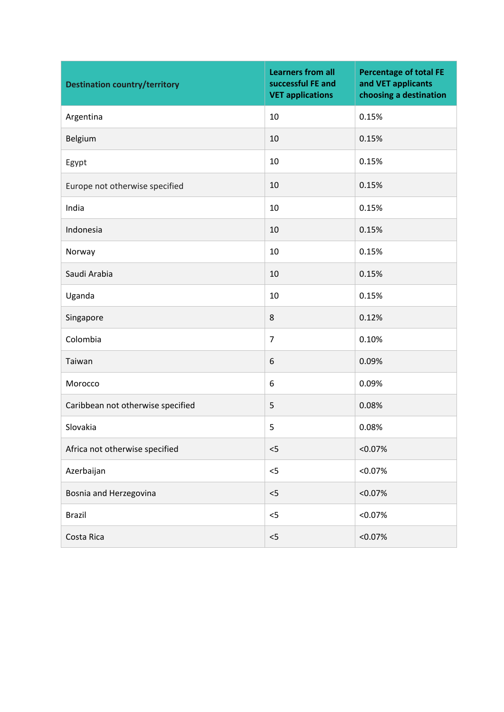| <b>Destination country/territory</b> | <b>Learners from all</b><br>successful FE and<br><b>VET applications</b> | <b>Percentage of total FE</b><br>and VET applicants<br>choosing a destination |
|--------------------------------------|--------------------------------------------------------------------------|-------------------------------------------------------------------------------|
| Argentina                            | 10                                                                       | 0.15%                                                                         |
| Belgium                              | 10                                                                       | 0.15%                                                                         |
| Egypt                                | 10                                                                       | 0.15%                                                                         |
| Europe not otherwise specified       | 10                                                                       | 0.15%                                                                         |
| India                                | 10                                                                       | 0.15%                                                                         |
| Indonesia                            | 10                                                                       | 0.15%                                                                         |
| Norway                               | 10                                                                       | 0.15%                                                                         |
| Saudi Arabia                         | 10                                                                       | 0.15%                                                                         |
| Uganda                               | 10                                                                       | 0.15%                                                                         |
| Singapore                            | 8                                                                        | 0.12%                                                                         |
| Colombia                             | $\overline{7}$                                                           | 0.10%                                                                         |
| Taiwan                               | 6                                                                        | 0.09%                                                                         |
| Morocco                              | 6                                                                        | 0.09%                                                                         |
| Caribbean not otherwise specified    | 5                                                                        | 0.08%                                                                         |
| Slovakia                             | 5                                                                        | 0.08%                                                                         |
| Africa not otherwise specified       | < 5                                                                      | $< 0.07\%$                                                                    |
| Azerbaijan                           | 5                                                                        | < 0.07%                                                                       |
| Bosnia and Herzegovina               | $<$ 5                                                                    | < 0.07%                                                                       |
| <b>Brazil</b>                        | $<$ 5                                                                    | < 0.07%                                                                       |
| Costa Rica                           | < 5                                                                      | < 0.07%                                                                       |